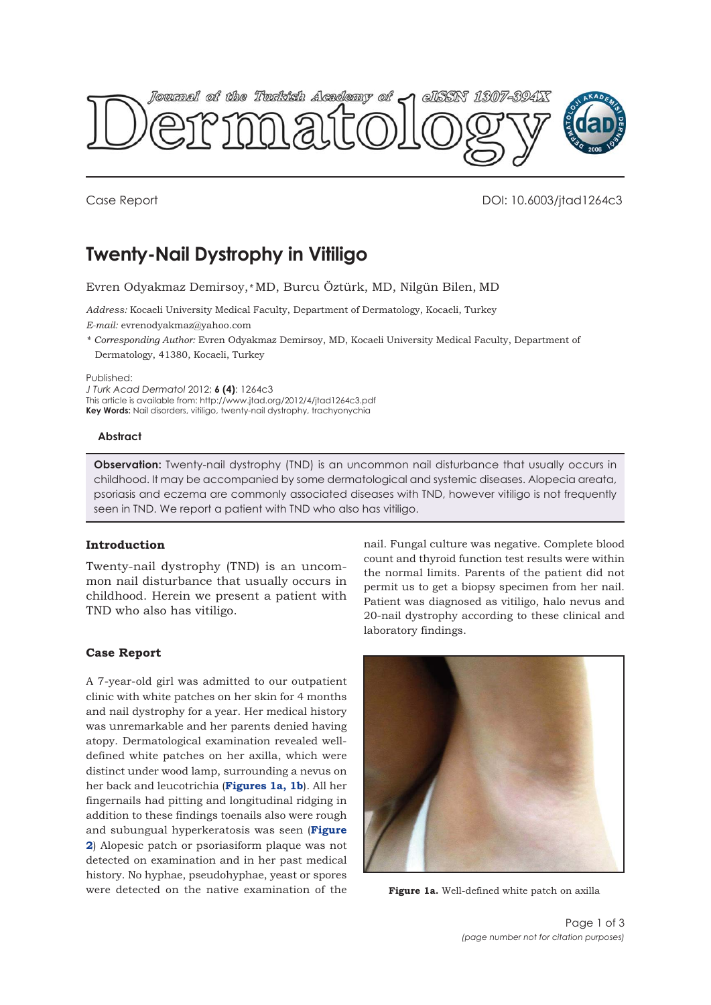

Case Report DOI: 10.6003/jtad1264c3

# **Twenty-Nail Dystrophy in Vitiligo**

Evren Odyakmaz Demirsoy,*\** MD, Burcu Öztürk, MD, Nilgün Bilen, MD

*Address:* Kocaeli University Medical Faculty, Department of Dermatology, Kocaeli, Turkey *E-mail:* evrenodyakmaz@yahoo.com

*\* Corresponding Author:* Evren Odyakmaz Demirsoy, MD, Kocaeli University Medical Faculty, Department of Dermatology, 41380, Kocaeli, Turkey

Published:

*J Turk Acad Dermatol* 2012; **6 (4)**: 1264c3

This article is available from: http://www.jtad.org/2012/4/jtad1264c3.pdf **Key Words:** Nail disorders, vitiligo, twenty-nail dystrophy, trachyonychia

**Abstract**

**Observation:** Twenty-nail dystrophy (TND) is an uncommon nail disturbance that usually occurs in childhood. It may be accompanied by some dermatological and systemic diseases. Alopecia areata, psoriasis and eczema are commonly associated diseases with TND, however vitiligo is not frequently seen in TND. We report a patient with TND who also has vitiligo.

## **Introduction**

Twenty-nail dystrophy (TND) is an uncommon nail disturbance that usually occurs in childhood. Herein we present a patient with TND who also has vitiligo.

### **Case Report**

A 7-year-old girl was admitted to our outpatient clinic with white patches on her skin for 4 months and nail dystrophy for a year. Her medical history was unremarkable and her parents denied having atopy. Dermatological examination revealed welldefined white patches on her axilla, which were distinct under wood lamp, surrounding a nevus on her back and leucotrichia (**Figures 1a, [1b](#page-1-0)**). All her fingernails had pitting and longitudinal ridging in addition to these findings toenails also were rough and subungual hyperkeratosis was seen (**Figure 2**[\) Alopesic patch or psoriasiform plaque was not](#page-1-0) detected on examination and in her past medical history. No hyphae, pseudohyphae, yeast or spores were detected on the native examination of the

nail. Fungal culture was negative. Complete blood count and thyroid function test results were within the normal limits. Parents of the patient did not permit us to get a biopsy specimen from her nail. Patient was diagnosed as vitiligo, halo nevus and 20-nail dystrophy according to these clinical and laboratory findings.



**Figure 1a.** Well-defined white patch on axilla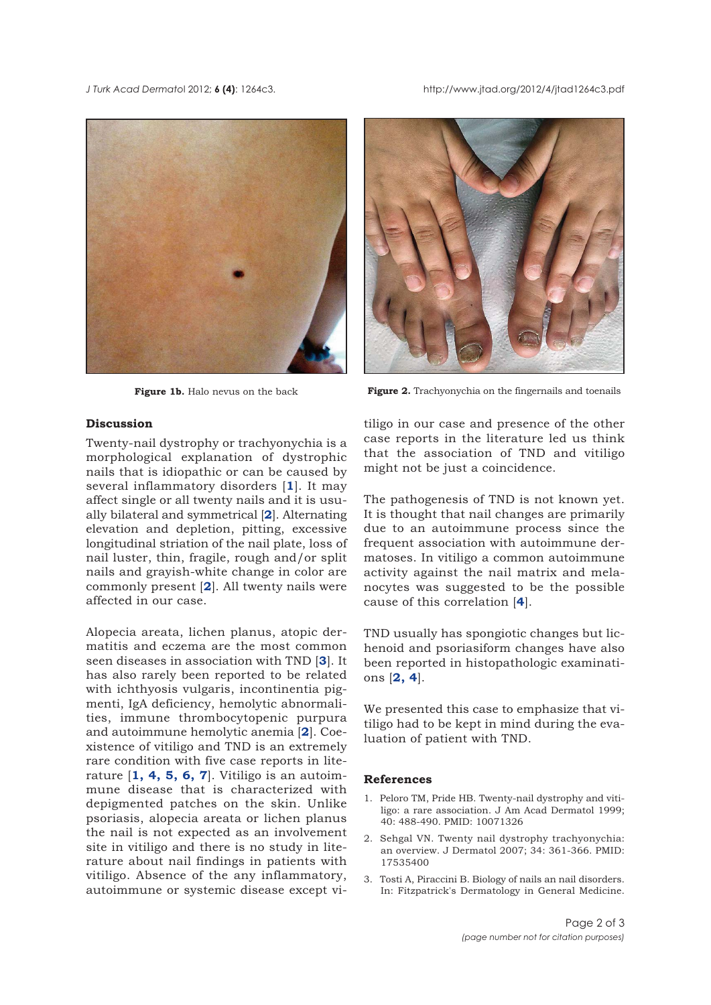<span id="page-1-0"></span>*J Turk Acad Dermato*l 2012; **6 (4)**: 1264c3. http://www.jtad.org/2012/4/jtad1264c3.pdf





**Figure 1b.** Halo nevus on the back **Figure 2.** Trachyonychia on the fingernails and toenails

# **Discussion**

Twenty-nail dystrophy or trachyonychia is a morphological explanation of dystrophic nails that is idiopathic or can be caused by several inflammatory disorders [**1**]. It may affect single or all twenty nails and it is usually bilateral and symmetrical [**2**]. Alternating elevation and depletion, pitting, excessive longitudinal striation of the nail plate, loss of nail luster, thin, fragile, rough and/or split nails and grayish-white change in color are commonly present [**2**]. All twenty nails were affected in our case.

Alopecia areata, lichen planus, atopic dermatitis and eczema are the most common seen diseases in association with TND [**3**]. It has also rarely been reported to be related with ichthyosis vulgaris, incontinentia pigmenti, IgA deficiency, hemolytic abnormalities, immune thrombocytopenic purpura and autoimmune hemolytic anemia [**2**]. Coexistence of vitiligo and TND is an extremely rare condition with five case reports in literature [**1, [4, 5, 6, 7](#page-2-0)**]. Vitiligo is an autoimmune disease that is characterized with depigmented patches on the skin. Unlike psoriasis, alopecia areata or lichen planus the nail is not expected as an involvement site in vitiligo and there is no study in literature about nail findings in patients with vitiligo. Absence of the any inflammatory, autoimmune or systemic disease except vitiligo in our case and presence of the other case reports in the literature led us think that the association of TND and vitiligo might not be just a coincidence.

The pathogenesis of TND is not known yet. It is thought that nail changes are primarily due to an autoimmune process since the frequent association with autoimmune dermatoses. In vitiligo a common autoimmune activity against the nail matrix and melanocytes was suggested to be the possible cause of this correlation [**[4](#page-2-0)**].

TND usually has spongiotic changes but lichenoid and psoriasiform changes have also been reported in histopathologic examinations [**2, [4](#page-2-0)**].

We presented this case to emphasize that vitiligo had to be kept in mind during the evaluation of patient with TND.

#### **References**

- 1. Peloro TM, Pride HB. Twenty-nail dystrophy and vitiligo: a rare association. J Am Acad Dermatol 1999; 40: 488-490. PMID: 10071326
- 2. Sehgal VN. Twenty nail dystrophy trachyonychia: an overview. J Dermatol 2007; 34: 361-366. PMID: 17535400
- 3. Tosti A, Piraccini B. Biology of nails an nail disorders. In: Fitzpatrick's Dermatology in General Medicine.